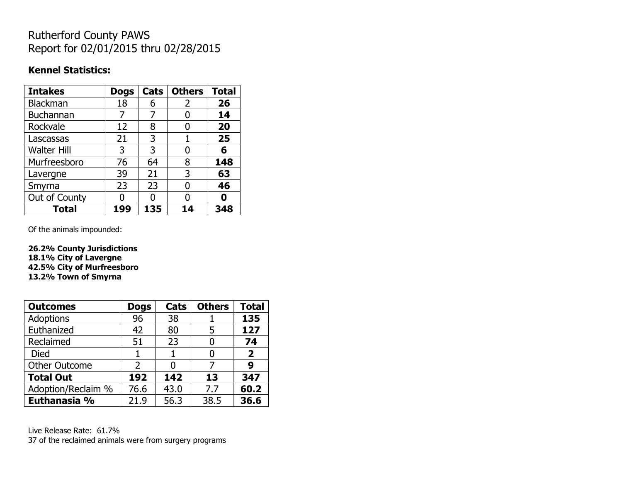# Rutherford County PAWS Report for 02/01/2015 thru 02/28/2015

#### **Kennel Statistics:**

| <b>Intakes</b>     | <b>Dogs</b> | Cats | <b>Others</b> | <b>Total</b> |
|--------------------|-------------|------|---------------|--------------|
| Blackman           | 18          | 6    | 2             | 26           |
| <b>Buchannan</b>   |             | 7    | 0             | 14           |
| Rockvale           | 12          | 8    | 0             | 20           |
| Lascassas          | 21          | 3    | 1             | 25           |
| <b>Walter Hill</b> | 3           | 3    | 0             | 6            |
| Murfreesboro       | 76          | 64   | 8             | 148          |
| Lavergne           | 39          | 21   | 3             | 63           |
| Smyrna             | 23          | 23   | O             | 46           |
| Out of County      |             | n    | 0             | n            |
| <b>Total</b>       | 199         | 135  | 14            | 348          |

Of the animals impounded:

**26.2% County Jurisdictions 18.1% City of Lavergne 42.5% City of Murfreesboro 13.2% Town of Smyrna**

| <b>Outcomes</b>      | <b>Dogs</b> | Cats | <b>Others</b> | <b>Total</b> |
|----------------------|-------------|------|---------------|--------------|
| <b>Adoptions</b>     | 96          | 38   |               | 135          |
| Euthanized           | 42          | 80   | 5             | 127          |
| Reclaimed            | 51          | 23   |               | 74           |
| <b>Died</b>          |             |      |               | $\mathbf{2}$ |
| <b>Other Outcome</b> | 2           |      |               | 9            |
| <b>Total Out</b>     | 192         | 142  | 13            | 347          |
| Adoption/Reclaim %   | 76.6        | 43.0 | 7.7           | 60.2         |
| Euthanasia %         | 21.9        | 56.3 | 38.5          | 36.6         |

Live Release Rate: 61.7% 37 of the reclaimed animals were from surgery programs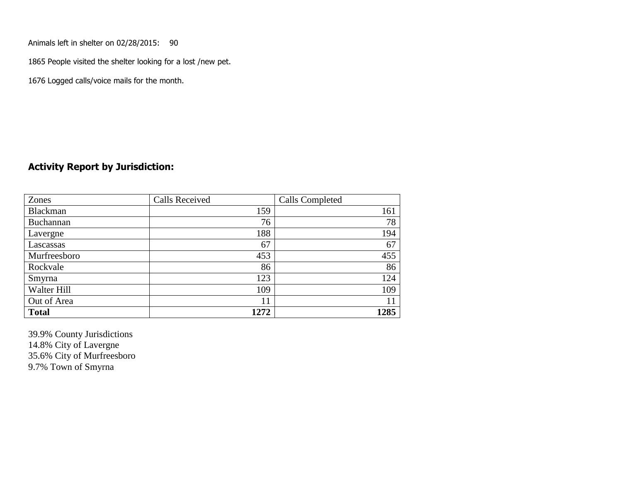Animals left in shelter on 02/28/2015: 90

1865 People visited the shelter looking for a lost /new pet.

1676 Logged calls/voice mails for the month.

#### **Activity Report by Jurisdiction:**

| Zones           | <b>Calls Received</b> | Calls Completed |
|-----------------|-----------------------|-----------------|
| <b>Blackman</b> | 159                   | 161             |
| Buchannan       | 76                    | 78              |
| Lavergne        | 188                   | 194             |
| Lascassas       | 67                    | 67              |
| Murfreesboro    | 453                   | 455             |
| Rockvale        | 86                    | 86              |
| Smyrna          | 123                   | 124             |
| Walter Hill     | 109                   | 109             |
| Out of Area     | 11                    |                 |
| <b>Total</b>    | 1272                  | 1285            |

39.9% County Jurisdictions 14.8% City of Lavergne 35.6% City of Murfreesboro 9.7% Town of Smyrna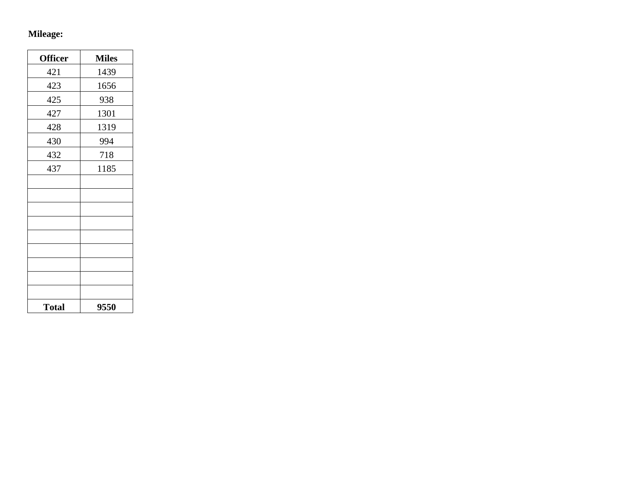# **Mileage:**

| <b>Officer</b> | <b>Miles</b> |
|----------------|--------------|
| 421            | 1439         |
| 423            | 1656         |
| 425            | 938          |
| 427            | 1301         |
| 428            | 1319         |
| 430            | 994          |
| 432            | 718          |
| 437            | 1185         |
|                |              |
|                |              |
|                |              |
|                |              |
|                |              |
|                |              |
|                |              |
|                |              |
|                |              |
| <b>Total</b>   | 9550         |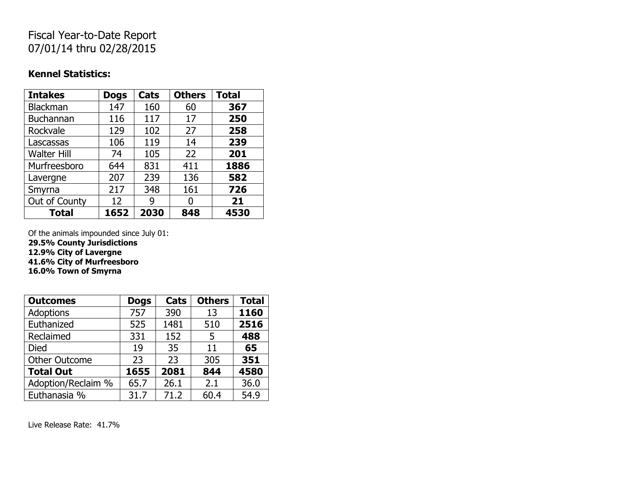# Fiscal Year-to-Date Report 07/01/14 thru 02/28/2015

#### **Kennel Statistics:**

| <b>Intakes</b>     | <b>Dogs</b> | Cats | <b>Others</b> | <b>Total</b> |
|--------------------|-------------|------|---------------|--------------|
| Blackman           | 147         | 160  | 60            | 367          |
| <b>Buchannan</b>   | 116         | 117  | 17            | 250          |
| Rockvale           | 129         | 102  | 27            | 258          |
| Lascassas          | 106         | 119  | 14            | 239          |
| <b>Walter Hill</b> | 74          | 105  | 22            | 201          |
| Murfreesboro       | 644         | 831  | 411           | 1886         |
| Lavergne           | 207         | 239  | 136           | 582          |
| Smyrna             | 217         | 348  | 161           | 726          |
| Out of County      | 12          | g    |               | 21           |
| <b>Total</b>       | 1652        | 2030 | 848           | 4530         |

Of the animals impounded since July 01:

**29.5% County Jurisdictions**

**12.9% City of Lavergne**

**41.6% City of Murfreesboro**

**16.0% Town of Smyrna**

| <b>Outcomes</b>      | <b>Dogs</b> | Cats | <b>Others</b> | <b>Total</b> |
|----------------------|-------------|------|---------------|--------------|
| <b>Adoptions</b>     | 757         | 390  | 13            | 1160         |
| Euthanized           | 525         | 1481 | 510           | 2516         |
| Reclaimed            | 331         | 152  | 5             | 488          |
| Died                 | 19          | 35   | 11            | 65           |
| <b>Other Outcome</b> | 23          | 23   | 305           | 351          |
| <b>Total Out</b>     | 1655        | 2081 | 844           | 4580         |
| Adoption/Reclaim %   | 65.7        | 26.1 | 2.1           | 36.0         |
| Euthanasia %         | 31.7        | 71.2 | 60.4          | 54.9         |

Live Release Rate: 41.7%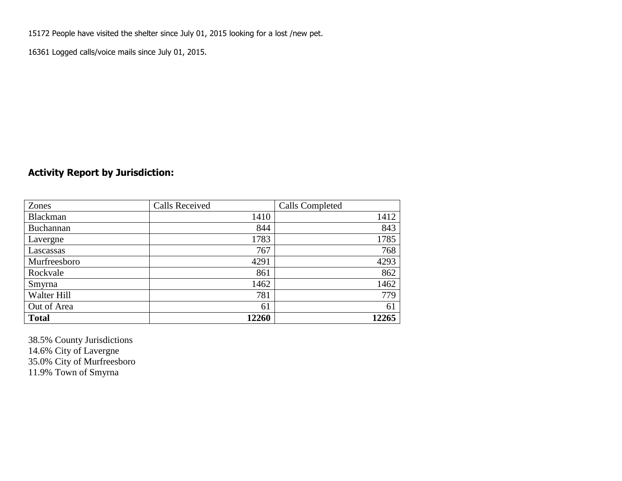15172 People have visited the shelter since July 01, 2015 looking for a lost /new pet.

16361 Logged calls/voice mails since July 01, 2015.

## **Activity Report by Jurisdiction:**

| Zones           | <b>Calls Received</b> | Calls Completed |
|-----------------|-----------------------|-----------------|
| <b>Blackman</b> | 1410                  | 1412            |
| Buchannan       | 844                   | 843             |
| Lavergne        | 1783                  | 1785            |
| Lascassas       | 767                   | 768             |
| Murfreesboro    | 4291                  | 4293            |
| Rockvale        | 861                   | 862             |
| Smyrna          | 1462                  | 1462            |
| Walter Hill     | 781                   | 779             |
| Out of Area     | 61                    | 61              |
| <b>Total</b>    | 12260                 | 12265           |

38.5% County Jurisdictions 14.6% City of Lavergne 35.0% City of Murfreesboro 11.9% Town of Smyrna